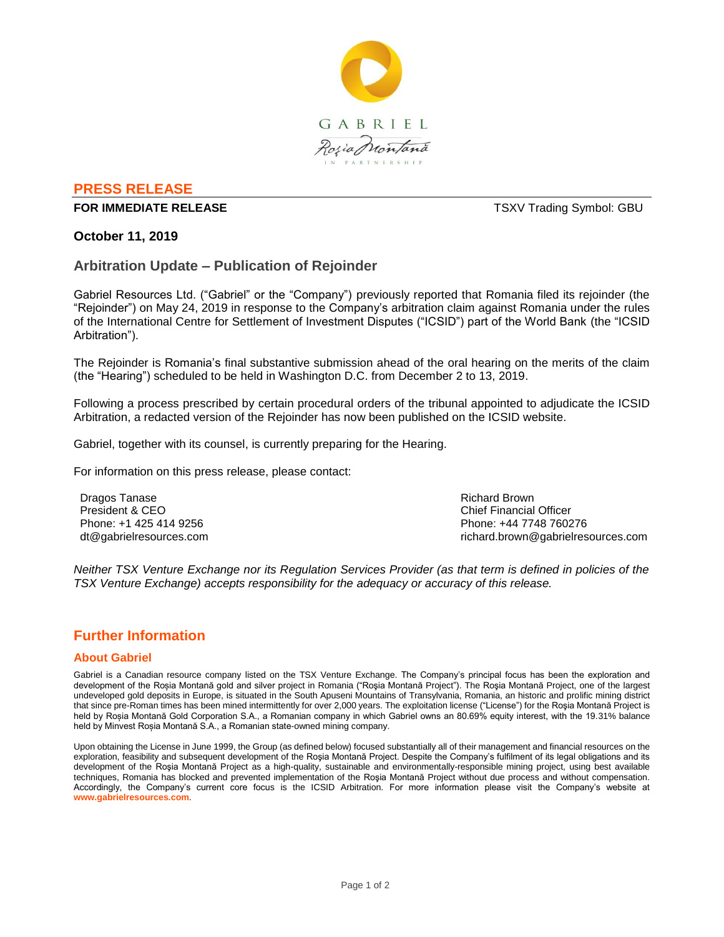

# **PRESS RELEASE**

#### **FOR IMMEDIATE RELEASE THE SECOND SYMBOL: GBU TSXV Trading Symbol: GBU**

## **October 11, 2019**

## **Arbitration Update – Publication of Rejoinder**

Gabriel Resources Ltd. ("Gabriel" or the "Company") previously reported that Romania filed its rejoinder (the "Rejoinder") on May 24, 2019 in response to the Company's arbitration claim against Romania under the rules of the International Centre for Settlement of Investment Disputes ("ICSID") part of the World Bank (the "ICSID Arbitration").

The Rejoinder is Romania's final substantive submission ahead of the oral hearing on the merits of the claim (the "Hearing") scheduled to be held in Washington D.C. from December 2 to 13, 2019.

Following a process prescribed by certain procedural orders of the tribunal appointed to adjudicate the ICSID Arbitration, a redacted version of the Rejoinder has now been published on the ICSID website.

Gabriel, together with its counsel, is currently preparing for the Hearing.

For information on this press release, please contact:

Dragos Tanase President & CEO Phone: +1 425 414 9256 dt@gabrielresources.com Richard Brown Chief Financial Officer Phone: +44 7748 760276 richard.brown@gabrielresources.com

*Neither TSX Venture Exchange nor its Regulation Services Provider (as that term is defined in policies of the TSX Venture Exchange) accepts responsibility for the adequacy or accuracy of this release.*

## **Further Information**

#### **About Gabriel**

Gabriel is a Canadian resource company listed on the TSX Venture Exchange. The Company's principal focus has been the exploration and development of the Roșia Montană gold and silver project in Romania ("Roşia Montană Project"). The Roşia Montană Project, one of the largest undeveloped gold deposits in Europe, is situated in the South Apuseni Mountains of Transylvania, Romania, an historic and prolific mining district that since pre-Roman times has been mined intermittently for over 2,000 years. The exploitation license ("License") for the Roşia Montană Project is held by Roșia Montană Gold Corporation S.A., a Romanian company in which Gabriel owns an 80.69% equity interest, with the 19.31% balance held by Minvest Roșia Montană S.A., a Romanian state-owned mining company.

Upon obtaining the License in June 1999, the Group (as defined below) focused substantially all of their management and financial resources on the exploration, feasibility and subsequent development of the Roşia Montană Project. Despite the Company's fulfilment of its legal obligations and its development of the Roşia Montană Project as a high-quality, sustainable and environmentally-responsible mining project, using best available techniques, Romania has blocked and prevented implementation of the Roşia Montană Project without due process and without compensation. Accordingly, the Company's current core focus is the ICSID Arbitration. For more information please visit the Company's website at **www.gabrielresources.com**.